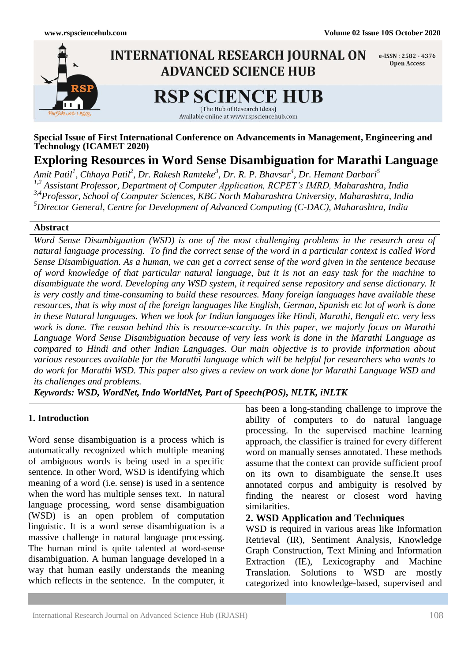

#### **Special Issue of First International Conference on Advancements in Management, Engineering and Technology (ICAMET 2020)**

# **Exploring Resources in Word Sense Disambiguation for Marathi Language**

*Amit Patil<sup>1</sup> , Chhaya Patil 2 , Dr. Rakesh Ramteke<sup>3</sup> , Dr. R. P. Bhavsar 4 , Dr. Hemant Darbari<sup>5</sup> 1,2 Assistant Professor, Department of Computer Application, RCPET's IMRD, Maharashtra, India 3,4Professor, School of Computer Sciences, KBC North Maharashtra University, Maharashtra, India <sup>5</sup>Director General, Centre for Development of Advanced Computing (C-DAC), Maharashtra, India*

#### **Abstract**

*Word Sense Disambiguation (WSD) is one of the most challenging problems in the research area of natural language processing. To find the correct sense of the word in a particular context is called Word Sense Disambiguation. As a human, we can get a correct sense of the word given in the sentence because of word knowledge of that particular natural language, but it is not an easy task for the machine to disambiguate the word. Developing any WSD system, it required sense repository and sense dictionary. It is very costly and time-consuming to build these resources. Many foreign languages have available these resources, that is why most of the foreign languages like English, German, Spanish etc lot of work is done in these Natural languages. When we look for Indian languages like Hindi, Marathi, Bengali etc. very less work is done. The reason behind this is resource-scarcity. In this paper, we majorly focus on Marathi Language Word Sense Disambiguation because of very less work is done in the Marathi Language as compared to Hindi and other Indian Languages. Our main objective is to provide information about various resources available for the Marathi language which will be helpful for researchers who wants to do work for Marathi WSD. This paper also gives a review on work done for Marathi Language WSD and its challenges and problems.*

*Keywords: WSD, WordNet, Indo WorldNet, Part of Speech(POS), NLTK, iNLTK*

#### **1. Introduction**

Word sense disambiguation is a process which is automatically recognized which multiple meaning of ambiguous words is being used in a specific sentence. In other Word, WSD is identifying which meaning of a word (i.e. sense) is used in a sentence when the word has multiple senses text. In natural language processing, word sense disambiguation (WSD) is an open problem of computation linguistic. It is a word sense disambiguation is a massive challenge in natural language processing. The human mind is quite talented at word-sense disambiguation. A human language developed in a way that human easily understands the meaning which reflects in the sentence. In the computer, it has been a long-standing challenge to improve the ability of computers to do natural language processing. In the supervised machine learning approach, the classifier is trained for every different word on manually senses annotated. These methods assume that the context can provide sufficient proof on its own to disambiguate the sense.It uses annotated corpus and ambiguity is resolved by finding the nearest or closest word having similarities.

#### **2. WSD Application and Techniques**

WSD is required in various areas like Information Retrieval (IR), Sentiment Analysis, Knowledge Graph Construction, Text Mining and Information Extraction (IE), Lexicography and Machine Translation. Solutions to WSD are mostly categorized into knowledge-based, supervised and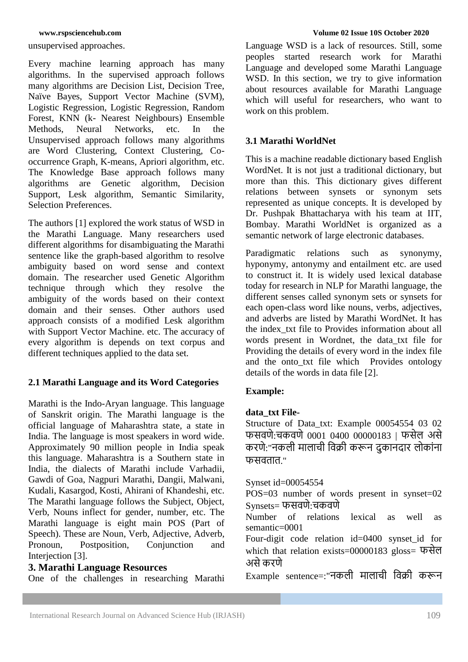unsupervised approaches.

Every machine learning approach has many algorithms. In the supervised approach follows many algorithms are Decision List, Decision Tree, Naïve Bayes, Support Vector Machine (SVM), Logistic Regression, Logistic Regression, [Random](https://www.analyticsvidhya.com/blog/2014/06/introduction-random-forest-simplified/)  [Forest,](https://www.analyticsvidhya.com/blog/2014/06/introduction-random-forest-simplified/) KNN (k- Nearest Neighbours) Ensemble<br>Methods. Neural Networks. etc. In the Methods, Neural Networks, etc. In the Unsupervised approach follows many algorithms are Word Clustering, Context Clustering, Cooccurrence Graph, K-means, Apriori algorithm, etc. The Knowledge Base approach follows many algorithms are Genetic algorithm, Decision Support, Lesk algorithm, Semantic Similarity, Selection Preferences.

The authors [1] explored the work status of WSD in the Marathi Language. Many researchers used different algorithms for disambiguating the Marathi sentence like the graph-based algorithm to resolve ambiguity based on word sense and context domain. The researcher used Genetic Algorithm technique through which they resolve the ambiguity of the words based on their context domain and their senses. Other authors used approach consists of a modified Lesk algorithm with Support Vector Machine. etc. The accuracy of every algorithm is depends on text corpus and different techniques applied to the data set.

# **2.1 Marathi Language and its Word Categories**

Marathi is the Indo-Aryan language. This language of Sanskrit origin. The Marathi language is the official language of Maharashtra state, a state in India. The language is most speakers in word wide. Approximately 90 million people in India speak this language. Maharashtra is a Southern state in India, the dialects of Marathi include Varhadii, Gawdi of Goa, Nagpuri Marathi, Dangii, Malwani, Kudali, Kasargod, Kosti, Ahirani of Khandeshi, etc. The Marathi language follows the Subject, Object, Verb, Nouns inflect for gender, number, etc. The Marathi language is eight main POS (Part of Speech). These are Noun, Verb, Adjective, Adverb, Pronoun, Postposition, Conjunction and Interjection [3].

#### **3. Marathi Language Resources**

One of the challenges in researching Marathi

Language WSD is a lack of resources. Still, some peoples started research work for Marathi Language and developed some Marathi Language WSD. In this section, we try to give information about resources available for Marathi Language which will useful for researchers, who want to work on this problem.

# **3.1 Marathi WorldNet**

This is a machine readable dictionary based English WordNet. It is not just a traditional dictionary, but more than this. This dictionary gives different relations between synsets or synonym sets represented as unique concepts. It is developed by Dr. Pushpak Bhattacharya with his team at IIT, Bombay. Marathi WorldNet is organized as a semantic network of large electronic databases.

Paradigmatic relations such as synonymy, hyponymy, antonymy and entailment etc. are used to construct it. It is widely used lexical database today for research in NLP for Marathi language, the different senses called synonym sets or synsets for each open-class word like nouns, verbs, adjectives, and adverbs are listed by Marathi WordNet. It has the index\_txt file to Provides information about all words present in Wordnet, the data\_txt file for Providing the details of every word in the index file and the onto txt file which Provides ontology details of the words in data file [2].

# **Example:**

# **data\_txt File-**

Structure of Data\_txt: Example 00054554 03 02 फसवणे:चकवणे0001 0400 00000183 | फसेल असे करणे:"नकली मालाची ववक्री करून दुकानदार लोकाांना फसवतात."

#### Synset id=00054554

POS=03 number of words present in synset=02 Synsets= फसवणे:चकवणे

Number of relations lexical as well as semantic=0001

Four-digit code relation id=0400 synset\_id for which that relation exists=00000183 gloss= फसेल असेकरणे

Example sentence=:"नकली मालाची ववक्री करून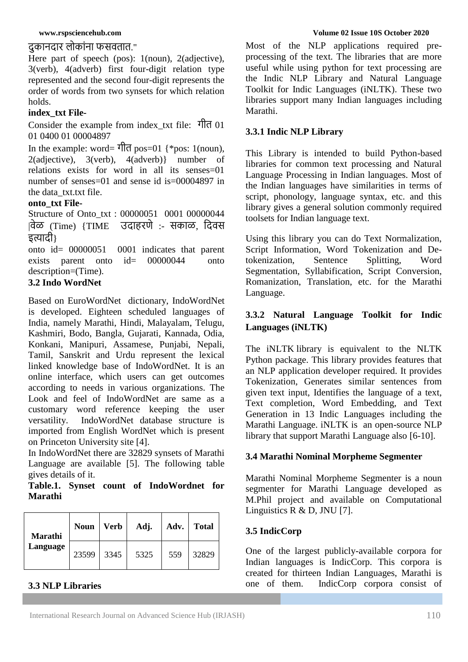# दुकानदार लोकाांना फसवतात."

Here part of speech (pos): 1(noun), 2(adjective), 3(verb), 4(adverb) first four-digit relation type represented and the second four-digit represents the order of words from two synsets for which relation holds.

# **index\_txt File-**

Consider the example from index\_txt file: गीत 01 01 0400 01 00004897

In the example: word= गीत pos=01 {\*pos: 1(noun),  $2$ (adjective),  $3$ (verb),  $4$ (adverb)} number of relations exists for word in all its senses=01 number of senses=01 and sense id is=00004897 in the data\_txt.txt file.

# **onto\_txt File-**

Structure of Onto\_txt : 00000051 0001 00000044 |वेळ (Time) {TIME उदाहरणे :- सकाळ, वदवस इत्यादी}

onto id= 00000051 0001 indicates that parent exists parent onto id= 00000044 onto description=(Time).

# **3.2 Indo WordNet**

Based on [EuroWordNet](https://en.wikipedia.org/wiki/EuroWordNet) dictionary, IndoWordNet is developed. Eighteen [scheduled languages of](https://en.wikipedia.org/wiki/Scheduled_languages_of_India)  [India,](https://en.wikipedia.org/wiki/Scheduled_languages_of_India) namely Marathi, Hindi, Malayalam, Telugu, Kashmiri, Bodo, Bangla, Gujarati, Kannada, Odia, Konkani, Manipuri, Assamese, Punjabi, Nepali, Tamil, Sanskrit and Urdu represent the lexical linked knowledge base of IndoWordNet. It is an online interface, which users can get outcomes according to needs in various organizations. The Look and feel of IndoWordNet are same as a customary word reference keeping the user versatility. IndoWordNet database structure is imported from English WordNet which is present on Princeton University site [4].

In IndoWordNet there are 32829 synsets of Marathi Language are available [5]. The following table gives details of it.

**Table.1. Synset count of IndoWordnet for Marathi**

| Marathi<br>Language | <b>Noun</b> | <b>Verb</b> | Adj. | Adv. | <b>Total</b> |
|---------------------|-------------|-------------|------|------|--------------|
|                     | 23599       | 3345        | 5325 | 559  | 32829        |

# **3.3 NLP Libraries**

Most of the NLP applications required preprocessing of the text. The libraries that are more useful while using python for text processing are the Indic NLP Library and Natural Language Toolkit for Indic Languages (iNLTK). These two libraries support many Indian languages including Marathi.

# **3.3.1 Indic NLP Library**

This Library is intended to build Python-based libraries for common text processing and Natural Language Processing in Indian languages. Most of the Indian languages have similarities in terms of script, phonology, language syntax, etc. and this library gives a general solution commonly required toolsets for Indian language text.

Using this library you can do Text Normalization, Script Information, Word Tokenization and Detokenization, Sentence Splitting, Word Segmentation, Syllabification, Script Conversion, Romanization, Translation, etc. for the Marathi Language.

# **3.3.2 Natural Language Toolkit for Indic Languages (iNLTK)**

The [iNLTK](https://github.com/goru001/inltk) library is equivalent to the NLTK Python package. This library provides features that an NLP application developer required. It provides Tokenization, Generates similar sentences from given text input, Identifies the language of a text, Text completion, Word Embedding, and Text Generation in 13 Indic Languages including the Marathi Language. iNLTK is an open-source NLP library that support Marathi Language also [6-10].

# **3.4 Marathi Nominal Morpheme Segmenter**

Marathi Nominal Morpheme Segmenter is a noun segmenter for Marathi Language developed as M.Phil project and available on Computational Linguistics R & D, JNU [7].

# **3.5 IndicCorp**

One of the largest publicly-available corpora for Indian languages is IndicCorp. This corpora is created for thirteen Indian Languages, Marathi is one of them. IndicCorp corpora consist of